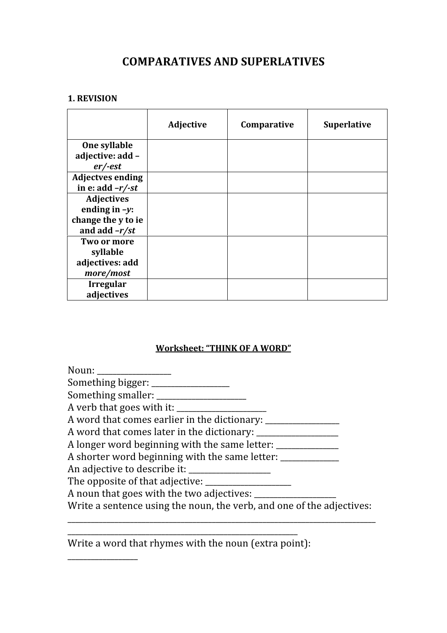## **COMPARATIVES
AND
SUPERLATIVES**

#### **1.
REVISION**

|                                          | Adjective | Comparative | <b>Superlative</b> |
|------------------------------------------|-----------|-------------|--------------------|
| One syllable<br>adjective: add -         |           |             |                    |
| $er$ $-est$<br><b>Adjectves ending</b>   |           |             |                    |
| in e: add $-r$ /-st<br><b>Adjectives</b> |           |             |                    |
| ending in $-y$ :                         |           |             |                    |
| change the y to ie<br>and add $-r/st$    |           |             |                    |
| Two or more<br>syllable                  |           |             |                    |
| adjectives: add<br>more/most             |           |             |                    |
| <b>Irregular</b><br>adjectives           |           |             |                    |

### **Worksheet:
"THINK
OF
A
WORD"**

| Noun: _______________                                                 |
|-----------------------------------------------------------------------|
| Something bigger: _______________                                     |
| Something smaller: _________________                                  |
| A verb that goes with it: _________________                           |
| A word that comes earlier in the dictionary: ______                   |
| A word that comes later in the dictionary: _________________          |
| A longer word beginning with the same letter: _____________           |
| A shorter word beginning with the same letter: _____________          |
| An adjective to describe it: __________________                       |
| The opposite of that adjective: _____                                 |
| A noun that goes with the two adjectives: _____                       |
| Write a sentence using the noun, the verb, and one of the adjectives: |

Write
a
word
that
rhymes
with
the
noun
(extra
point):

\_\_\_\_\_\_\_\_\_\_\_\_\_\_\_\_\_\_\_\_\_\_\_\_\_\_\_\_\_\_\_\_\_\_\_\_\_\_\_\_\_\_\_\_\_\_\_\_\_\_\_\_\_\_\_\_\_\_\_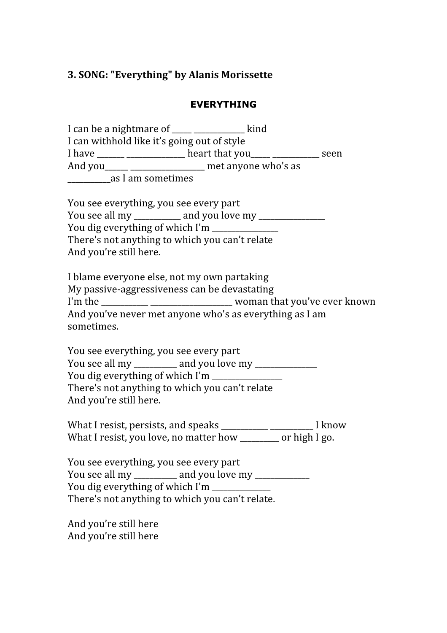# **3.
SONG:
"Everything"
by
Alanis
Morissette**

### **EVERYTHING**

|                                             | I can be a nightmare of ____ _____________ kind                     |  |
|---------------------------------------------|---------------------------------------------------------------------|--|
| I can withhold like it's going out of style |                                                                     |  |
|                                             | I have ______ _____________ heart that you____ ____________ seen    |  |
|                                             |                                                                     |  |
| _________________as I am sometimes          |                                                                     |  |
| You see everything, you see every part      |                                                                     |  |
|                                             | You see all my ___________ and you love my _____________            |  |
|                                             | You dig everything of which I'm _____________                       |  |
|                                             | There's not anything to which you can't relate                      |  |
| And you're still here.                      |                                                                     |  |
|                                             | I blame everyone else, not my own partaking                         |  |
|                                             | My passive-aggressiveness can be devastating                        |  |
|                                             |                                                                     |  |
|                                             | And you've never met anyone who's as everything as I am             |  |
| sometimes.                                  |                                                                     |  |
| You see everything, you see every part      |                                                                     |  |
|                                             | You see all my _________ and you love my ____________               |  |
|                                             | You dig everything of which I'm _______________                     |  |
|                                             | There's not anything to which you can't relate                      |  |
| And you're still here.                      |                                                                     |  |
|                                             | What I resist, persists, and speaks ________________________ I know |  |
|                                             | What I resist, you love, no matter how _______ or high I go.        |  |
| You see everything, you see every part      |                                                                     |  |
|                                             | You see all my __________ and you love my ____________              |  |
|                                             | You dig everything of which I'm ___________                         |  |
|                                             | There's not anything to which you can't relate.                     |  |
| And wou're atill hous                       |                                                                     |  |

And
you're
still
here And
you're
still
here